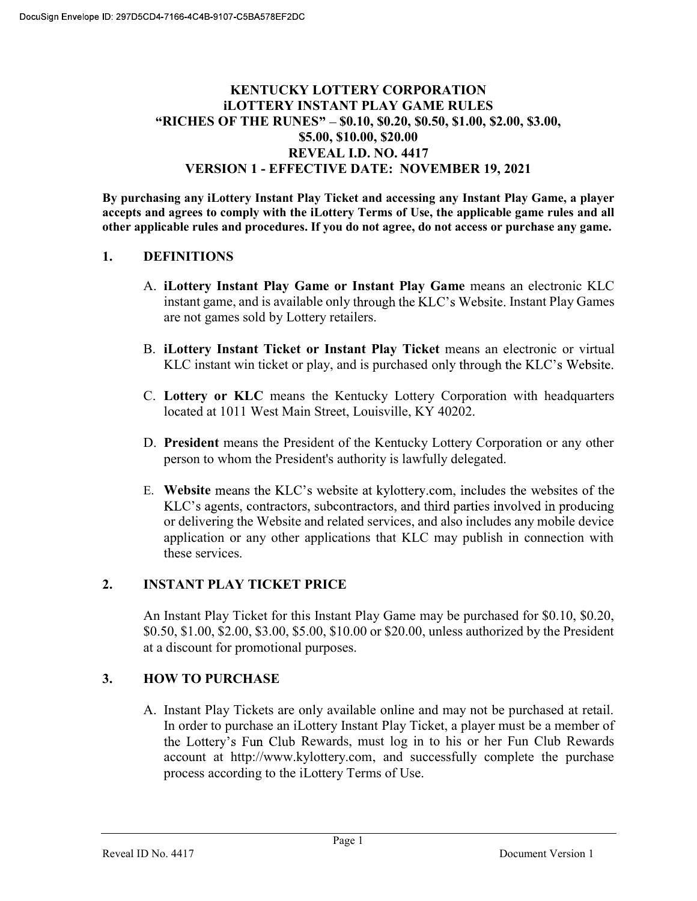# KENTUCKY LOTTERY CORPORATION iLOTTERY INSTANT PLAY GAME RULES "RICHES OF THE RUNES" - \$0.10, \$0.20, \$0.50, \$1.00, \$2.00, \$3.00, \$5.00, \$10.00, \$20.00 REVEAL I.D. NO. 4417 VERSION 1 - EFFECTIVE DATE: NOVEMBER 19, 2021

By purchasing any iLottery Instant Play Ticket and accessing any Instant Play Game, a player accepts and agrees to comply with the iLottery Terms of Use, the applicable game rules and all other applicable rules and procedures. If you do not agree, do not access or purchase any game.

### 1. DEFINITIONS

- A. iLottery Instant Play Game or Instant Play Game means an electronic KLC instant game, and is available only through the KLC's Website. Instant Play Games are not games sold by Lottery retailers.
- B. iLottery Instant Ticket or Instant Play Ticket means an electronic or virtual KLC instant win ticket or play, and is purchased only through the KLC's Website.
- C. Lottery or KLC means the Kentucky Lottery Corporation with headquarters located at 1011 West Main Street, Louisville, KY 40202.
- D. President means the President of the Kentucky Lottery Corporation or any other person to whom the President's authority is lawfully delegated.
- E. Website means the KLC's website at kylottery.com, includes the websites of the KLC's agents, contractors, subcontractors, and third parties involved in producing or delivering the Website and related services, and also includes any mobile device application or any other applications that KLC may publish in connection with these services.

### 2. INSTANT PLAY TICKET PRICE

An Instant Play Ticket for this Instant Play Game may be purchased for \$0.10, \$0.20, \$0.50, \$1.00, \$2.00, \$3.00, \$5.00, \$10.00 or \$20.00, unless authorized by the President at a discount for promotional purposes.

### 3. HOW TO PURCHASE

A. Instant Play Tickets are only available online and may not be purchased at retail. In order to purchase an iLottery Instant Play Ticket, a player must be a member of the Lottery's Fun Club Rewards, must log in to his or her Fun Club Rewards account at http://www.kylottery.com, and successfully complete the purchase process according to the iLottery Terms of Use.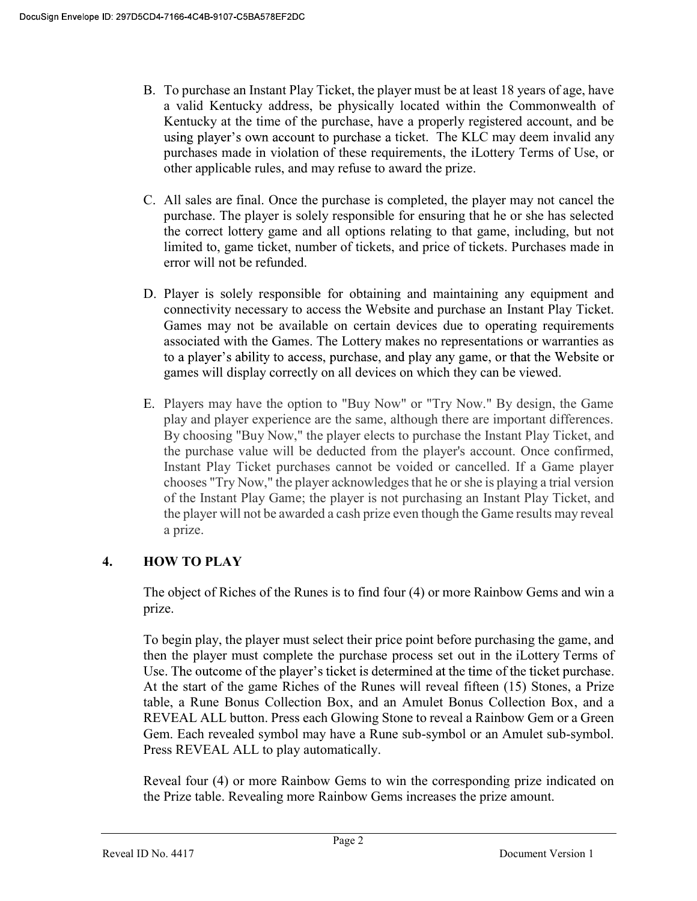- B. To purchase an Instant Play Ticket, the player must be at least 18 years of age, have a valid Kentucky address, be physically located within the Commonwealth of Kentucky at the time of the purchase, have a properly registered account, and be using player's own account to purchase a ticket. The KLC may deem invalid any purchases made in violation of these requirements, the iLottery Terms of Use, or other applicable rules, and may refuse to award the prize.
- C. All sales are final. Once the purchase is completed, the player may not cancel the purchase. The player is solely responsible for ensuring that he or she has selected the correct lottery game and all options relating to that game, including, but not limited to, game ticket, number of tickets, and price of tickets. Purchases made in error will not be refunded.
- D. Player is solely responsible for obtaining and maintaining any equipment and connectivity necessary to access the Website and purchase an Instant Play Ticket. Games may not be available on certain devices due to operating requirements associated with the Games. The Lottery makes no representations or warranties as to a player's ability to access, purchase, and play any game, or that the Website or games will display correctly on all devices on which they can be viewed.
- E. Players may have the option to "Buy Now" or "Try Now." By design, the Game play and player experience are the same, although there are important differences. By choosing "Buy Now," the player elects to purchase the Instant Play Ticket, and the purchase value will be deducted from the player's account. Once confirmed, Instant Play Ticket purchases cannot be voided or cancelled. If a Game player chooses "Try Now," the player acknowledges that he or she is playing a trial version of the Instant Play Game; the player is not purchasing an Instant Play Ticket, and the player will not be awarded a cash prize even though the Game results may reveal a prize.

# 4. HOW TO PLAY

The object of Riches of the Runes is to find four (4) or more Rainbow Gems and win a prize.

To begin play, the player must select their price point before purchasing the game, and then the player must complete the purchase process set out in the iLottery Terms of Use. The outcome of the player's ticket is determined at the time of the ticket purchase. At the start of the game Riches of the Runes will reveal fifteen (15) Stones, a Prize table, a Rune Bonus Collection Box, and an Amulet Bonus Collection Box, and a REVEAL ALL button. Press each Glowing Stone to reveal a Rainbow Gem or a Green Gem. Each revealed symbol may have a Rune sub-symbol or an Amulet sub-symbol. Press REVEAL ALL to play automatically.

Reveal four (4) or more Rainbow Gems to win the corresponding prize indicated on the Prize table. Revealing more Rainbow Gems increases the prize amount.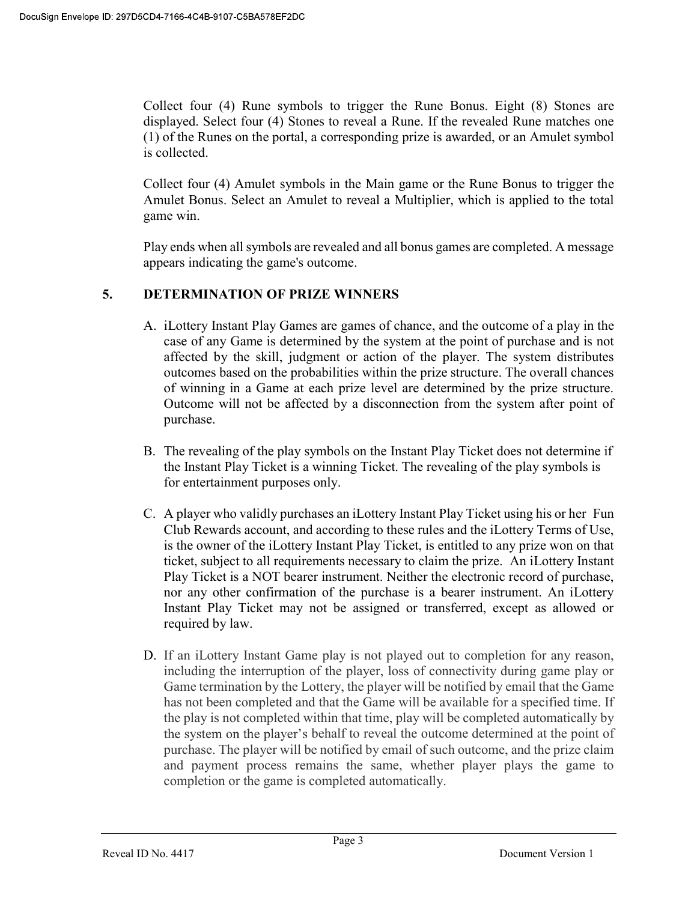Collect four (4) Rune symbols to trigger the Rune Bonus. Eight (8) Stones are displayed. Select four (4) Stones to reveal a Rune. If the revealed Rune matches one (1) of the Runes on the portal, a corresponding prize is awarded, or an Amulet symbol is collected.

Collect four (4) Amulet symbols in the Main game or the Rune Bonus to trigger the Amulet Bonus. Select an Amulet to reveal a Multiplier, which is applied to the total game win.

Play ends when all symbols are revealed and all bonus games are completed. A message appears indicating the game's outcome.

# 5. DETERMINATION OF PRIZE WINNERS

- A. iLottery Instant Play Games are games of chance, and the outcome of a play in the case of any Game is determined by the system at the point of purchase and is not affected by the skill, judgment or action of the player. The system distributes outcomes based on the probabilities within the prize structure. The overall chances of winning in a Game at each prize level are determined by the prize structure. Outcome will not be affected by a disconnection from the system after point of purchase.
- B. The revealing of the play symbols on the Instant Play Ticket does not determine if the Instant Play Ticket is a winning Ticket. The revealing of the play symbols is for entertainment purposes only.
- C. A player who validly purchases an iLottery Instant Play Ticket using his or her Fun Club Rewards account, and according to these rules and the iLottery Terms of Use, is the owner of the iLottery Instant Play Ticket, is entitled to any prize won on that ticket, subject to all requirements necessary to claim the prize. An iLottery Instant Play Ticket is a NOT bearer instrument. Neither the electronic record of purchase, nor any other confirmation of the purchase is a bearer instrument. An iLottery Instant Play Ticket may not be assigned or transferred, except as allowed or required by law.
- D. If an iLottery Instant Game play is not played out to completion for any reason, including the interruption of the player, loss of connectivity during game play or Game termination by the Lottery, the player will be notified by email that the Game has not been completed and that the Game will be available for a specified time. If the play is not completed within that time, play will be completed automatically by the system on the player's behalf to reveal the outcome determined at the point of purchase. The player will be notified by email of such outcome, and the prize claim and payment process remains the same, whether player plays the game to completion or the game is completed automatically.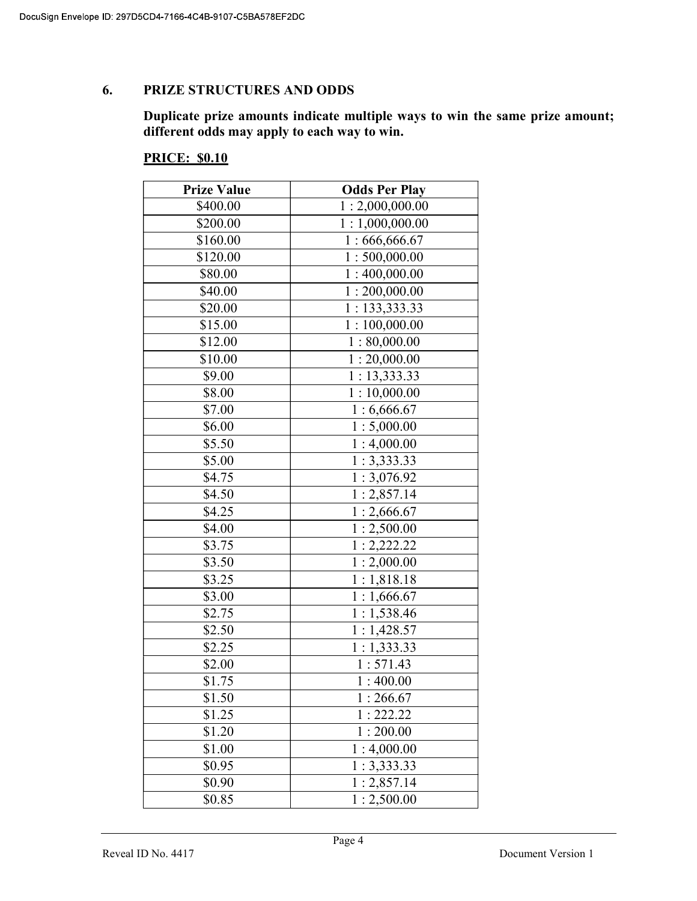### 6. PRIZE STRUCTURES AND ODDS

Duplicate prize amounts indicate multiple ways to win the same prize amount; different odds may apply to each way to win.

#### **PRICE: \$0.10**

| <b>Prize Value</b> | <b>Odds Per Play</b>  |
|--------------------|-----------------------|
| \$400.00           | 1:2,000,000.00        |
| \$200.00           | 1:1,000,000.00        |
| \$160.00           | 1:666,666.67          |
| \$120.00           | 1:500,000.00          |
| \$80.00            | 1:400,000.00          |
| \$40.00            | 1:200,000.00          |
| \$20.00            | 1: 133, 333.33        |
| \$15.00            | 1:100,000.00          |
| \$12.00            | 1:80,000.00           |
| \$10.00            | 1:20,000.00           |
| \$9.00             | 1:13,333.33           |
| \$8.00             | 1:10,000.00           |
| \$7.00             | 1:6,666.67            |
| \$6.00             | 1:5,000.00            |
| \$5.50             | 1:4,000.00            |
| \$5.00             | 1:3,333.33            |
| \$4.75             | 1:3,076.92            |
| \$4.50             | 1:2,857.14            |
| \$4.25             | 1:2,666.67            |
| \$4.00             | 1:2,500.00            |
| \$3.75             | 1:2,222.22            |
| \$3.50             | 1:2,000.00            |
| \$3.25             | 1:1,818.18            |
| \$3.00             | 1:1,666.67            |
| \$2.75             | 1:1,538.46            |
| \$2.50             | 1:1,428.57            |
| \$2.25             | 1:1,333.33            |
| \$2.00             | 1:571.43              |
| \$1.75             | 1:400.00              |
| \$1.50             | $\overline{1:}266.67$ |
| \$1.25             | 1:222.22              |
| \$1.20             | 1:200.00              |
| \$1.00             | 1:4,000.00            |
| \$0.95             | 1:3,333.33            |
| \$0.90             | 1:2,857.14            |
| \$0.85             | 1:2,500.00            |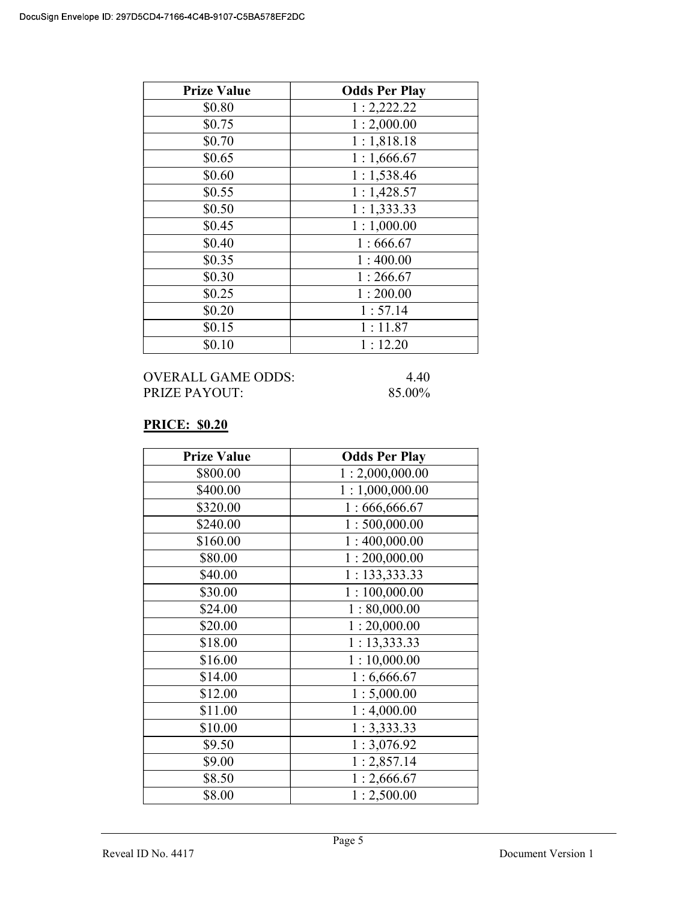| <b>Prize Value</b> | <b>Odds Per Play</b> |
|--------------------|----------------------|
| \$0.80             | 1:2,222.22           |
| \$0.75             | 1:2,000.00           |
| \$0.70             | 1:1,818.18           |
| \$0.65             | 1:1,666.67           |
| \$0.60             | 1:1,538.46           |
| \$0.55             | 1:1,428.57           |
| \$0.50             | 1:1,333.33           |
| \$0.45             | 1:1,000.00           |
| \$0.40             | 1:666.67             |
| \$0.35             | 1:400.00             |
| \$0.30             | 1:266.67             |
| \$0.25             | 1:200.00             |
| \$0.20             | 1:57.14              |
| \$0.15             | 1:11.87              |
| \$0.10             | 1:12.20              |

| OVERALL GAME ODDS:  | 440    |
|---------------------|--------|
| $PRIZE$ $PAYO$ $UT$ | 85.00% |

# PRICE: \$0.20

| <b>Prize Value</b> | <b>Odds Per Play</b> |
|--------------------|----------------------|
| \$800.00           | 1:2,000,000.00       |
| \$400.00           | 1:1,000,000.00       |
| \$320.00           | 1:666,666.67         |
| \$240.00           | 1:500,000.00         |
| \$160.00           | 1:400,000.00         |
| \$80.00            | 1:200,000.00         |
| \$40.00            | 1: 133, 333.33       |
| \$30.00            | 1:100,000.00         |
| \$24.00            | 1:80,000.00          |
| \$20.00            | 1:20,000.00          |
| \$18.00            | 1:13,333.33          |
| \$16.00            | 1:10,000.00          |
| \$14.00            | 1:6,666.67           |
| \$12.00            | 1:5,000.00           |
| \$11.00            | 1:4,000.00           |
| \$10.00            | 1:3,333.33           |
| \$9.50             | 1:3,076.92           |
| \$9.00             | 1:2,857.14           |
| \$8.50             | 1:2,666.67           |
| \$8.00             | 1:2,500.00           |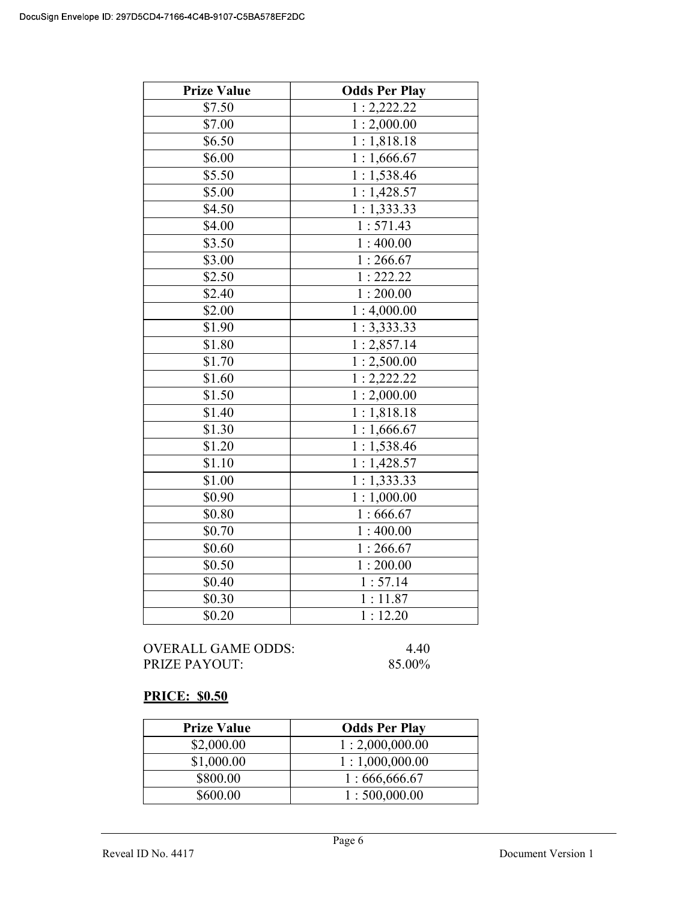| <b>Prize Value</b> | <b>Odds Per Play</b>     |
|--------------------|--------------------------|
| \$7.50             | 1:2,222.22               |
| \$7.00             | 1:2,000.00               |
| \$6.50             | 1:1,818.18               |
| \$6.00             | $\overline{1:1,666.67}$  |
| \$5.50             | 1:1,538.46               |
| \$5.00             | 1:1,428.57               |
| \$4.50             | 1:1,333.33               |
| \$4.00             | 1:571.43                 |
| \$3.50             | 1:400.00                 |
| \$3.00             | 1:266.67                 |
| \$2.50             | 1:222.22                 |
| \$2.40             | 1:200.00                 |
| \$2.00             | 1:4,000.00               |
| \$1.90             | 1:3,333.33               |
| \$1.80             | 1:2,857.14               |
| $\sqrt{$1.70}$     | 1:2,500.00               |
| \$1.60             | 1:2,222.22               |
| \$1.50             | 1:2,000.00               |
| \$1.40             | 1:1,818.18               |
| \$1.30             | 1:1,666.67               |
| \$1.20             | 1:1,538.46               |
| \$1.10             | $\overline{1}: 1,428.57$ |
| \$1.00             | 1:1,333.33               |
| \$0.90             | 1:1,000.00               |
| \$0.80             | 1:666.67                 |
| \$0.70             | 1:400.00                 |
| \$0.60             | 1:266.67                 |
| \$0.50             | 1:200.00                 |
| \$0.40             | 1:57.14                  |
| \$0.30             | 1:11.87                  |
| \$0.20             | 1:12.20                  |

OVERALL GAME ODDS: 4.40<br>PRIZE PAYOUT: 85.00% PRIZE PAYOUT:

# PRICE: \$0.50

| <b>Prize Value</b> | <b>Odds Per Play</b> |
|--------------------|----------------------|
| \$2,000.00         | 1:2,000,000.00       |
| \$1,000.00         | 1:1,000,000.00       |
| \$800.00           | 1:666,666.67         |
| \$600.00           | 1:500,000.00         |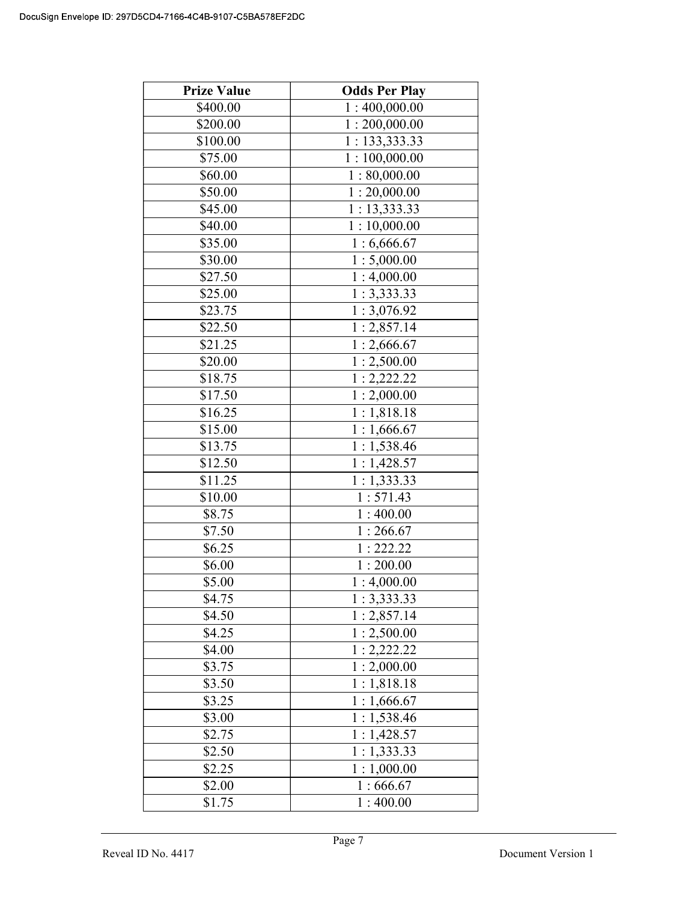| <b>Prize Value</b> | <b>Odds Per Play</b>     |
|--------------------|--------------------------|
| \$400.00           | 1:400,000.00             |
| \$200.00           | 1:200,000.00             |
| \$100.00           | 1: 133,333.33            |
| \$75.00            | 1:100,000.00             |
| \$60.00            | 1:80,000.00              |
| \$50.00            | 1:20,000.00              |
| \$45.00            | 1:13,333.33              |
| \$40.00            | 1:10,000.00              |
| \$35.00            | 1:6,666.67               |
| \$30.00            | 1:5,000.00               |
| \$27.50            | 1:4,000.00               |
| \$25.00            | 1:3,333.33               |
| \$23.75            | 1:3,076.92               |
| \$22.50            | 1:2,857.14               |
| \$21.25            | 1:2,666.67               |
| \$20.00            | 1:2,500.00               |
| \$18.75            | 1:2,222.22               |
| \$17.50            | 1:2,000.00               |
| \$16.25            | 1:1,818.18               |
| \$15.00            | $\overline{1}: 1,666.67$ |
| \$13.75            | 1:1,538.46               |
| \$12.50            | 1:1,428.57               |
| \$11.25            | 1:1,333.33               |
| \$10.00            | 1:571.43                 |
| \$8.75             | 1:400.00                 |
| \$7.50             | 1:266.67                 |
| \$6.25             | 1:222.22                 |
| \$6.00             | 1:200.00                 |
| \$5.00             | 1:4,000.00               |
| \$4.75             | 1:3,333.33               |
| \$4.50             | 1:2,857.14               |
| \$4.25             | 1:2,500.00               |
| \$4.00             | 1:2,222.22               |
| \$3.75             | 1:2,000.00               |
| \$3.50             | $\overline{1}: 1,818.18$ |
| \$3.25             | 1:1,666.67               |
| \$3.00             | 1:1,538.46               |
| \$2.75             | 1:1,428.57               |
| \$2.50             | $\overline{1}: 1,333.33$ |
| \$2.25             | 1:1,000.00               |
| \$2.00             | 1:666.67                 |
| \$1.75             | 1:400.00                 |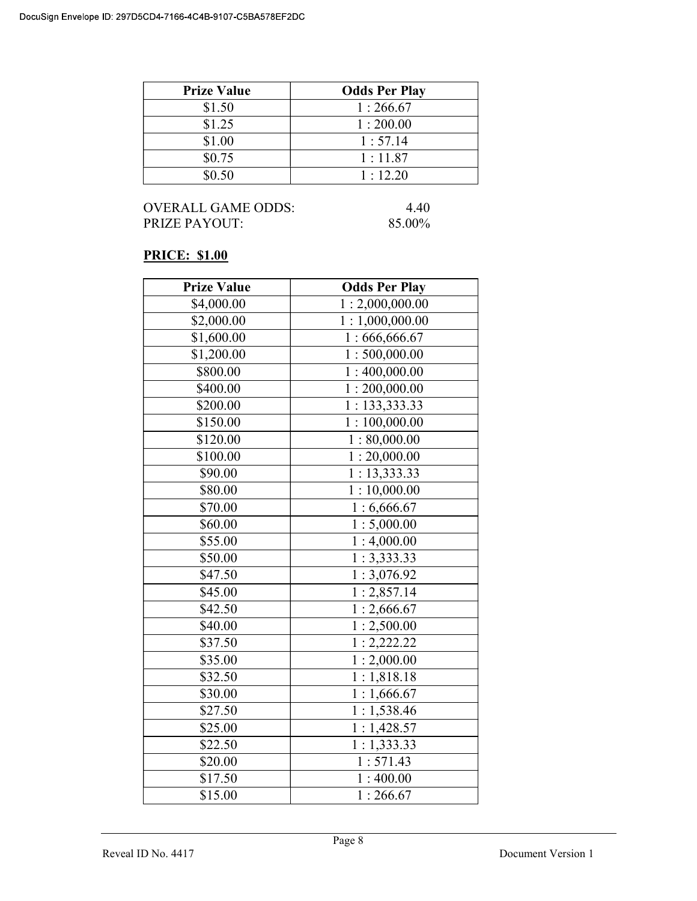| <b>Prize Value</b> | <b>Odds Per Play</b> |
|--------------------|----------------------|
| \$1.50             | 1:266.67             |
| \$1.25             | 1:200.00             |
| \$1.00             | 1:57.14              |
| \$0.75             | 1:11.87              |
| \$0.50             | 1:12.20              |

OVERALL GAME ODDS: 4.40 PRIZE PAYOUT: 85.00%

# PRICE: \$1.00

| <b>Prize Value</b> | <b>Odds Per Play</b>      |
|--------------------|---------------------------|
| \$4,000.00         | 1:2,000,000.00            |
| \$2,000.00         | 1:1,000,000.00            |
| \$1,600.00         | 1:666,666.67              |
| \$1,200.00         | 1:500,000.00              |
| \$800.00           | $\overline{1:}400,000.00$ |
| \$400.00           | 1:200,000.00              |
| \$200.00           | 1: 133,333.33             |
| \$150.00           | 1:100,000.00              |
| \$120.00           | 1:80,000.00               |
| \$100.00           | $\overline{1:20,000.00}$  |
| \$90.00            | 1: 13,333.33              |
| \$80.00            | 1:10,000.00               |
| \$70.00            | 1:6,666.67                |
| \$60.00            | 1:5,000.00                |
| \$55.00            | 1:4,000.00                |
| \$50.00            | 1:3,333.33                |
| \$47.50            | 1:3,076.92                |
| \$45.00            | 1:2,857.14                |
| \$42.50            | 1:2,666.67                |
| \$40.00            | 1:2,500.00                |
| \$37.50            | 1:2,222.22                |
| \$35.00            | 1:2,000.00                |
| \$32.50            | 1:1,818.18                |
| \$30.00            | 1:1,666.67                |
| \$27.50            | 1:1,538.46                |
| \$25.00            | 1:1,428.57                |
| \$22.50            | 1:1,333.33                |
| \$20.00            | 1:571.43                  |
| \$17.50            | 1:400.00                  |
| \$15.00            | 1:266.67                  |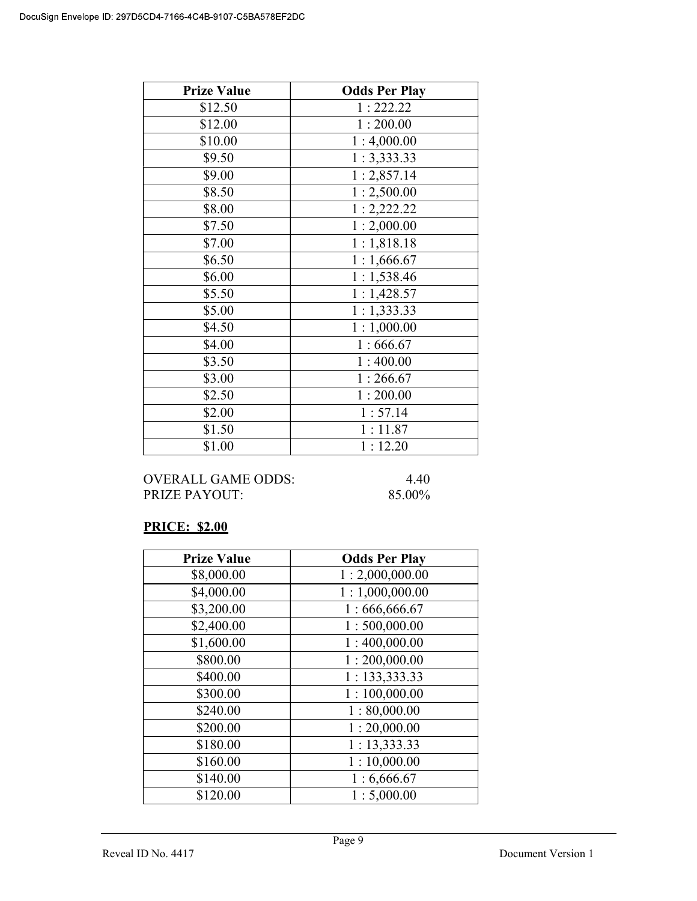| <b>Prize Value</b> | <b>Odds Per Play</b> |
|--------------------|----------------------|
| \$12.50            | 1:222.22             |
| \$12.00            | 1:200.00             |
| \$10.00            | 1:4,000.00           |
| \$9.50             | 1:3,333.33           |
| \$9.00             | 1:2,857.14           |
| \$8.50             | 1:2,500.00           |
| \$8.00             | 1:2,222.22           |
| \$7.50             | 1:2,000.00           |
| \$7.00             | 1:1,818.18           |
| \$6.50             | 1:1,666.67           |
| \$6.00             | 1:1,538.46           |
| \$5.50             | 1:1,428.57           |
| \$5.00             | 1:1,333.33           |
| \$4.50             | 1:1,000.00           |
| \$4.00             | 1:666.67             |
| \$3.50             | 1:400.00             |
| \$3.00             | 1:266.67             |
| \$2.50             | 1:200.00             |
| \$2.00             | 1:57.14              |
| \$1.50             | 1:11.87              |
| \$1.00             | 1:12.20              |

OVERALL GAME ODDS: 4.40 PRIZE PAYOUT: 85.00%

# PRICE: \$2.00

| <b>Prize Value</b> | <b>Odds Per Play</b> |
|--------------------|----------------------|
| \$8,000.00         | 1:2,000,000.00       |
| \$4,000.00         | 1:1,000,000.00       |
| \$3,200.00         | 1:666,666.67         |
| \$2,400.00         | 1:500,000.00         |
| \$1,600.00         | 1:400,000.00         |
| \$800.00           | 1:200,000.00         |
| \$400.00           | 1: 133,333.33        |
| \$300.00           | 1:100,000.00         |
| \$240.00           | 1:80,000.00          |
| \$200.00           | 1:20,000.00          |
| \$180.00           | 1:13,333.33          |
| \$160.00           | 1:10,000.00          |
| \$140.00           | 1:6,666.67           |
| \$120.00           | 1:5,000.00           |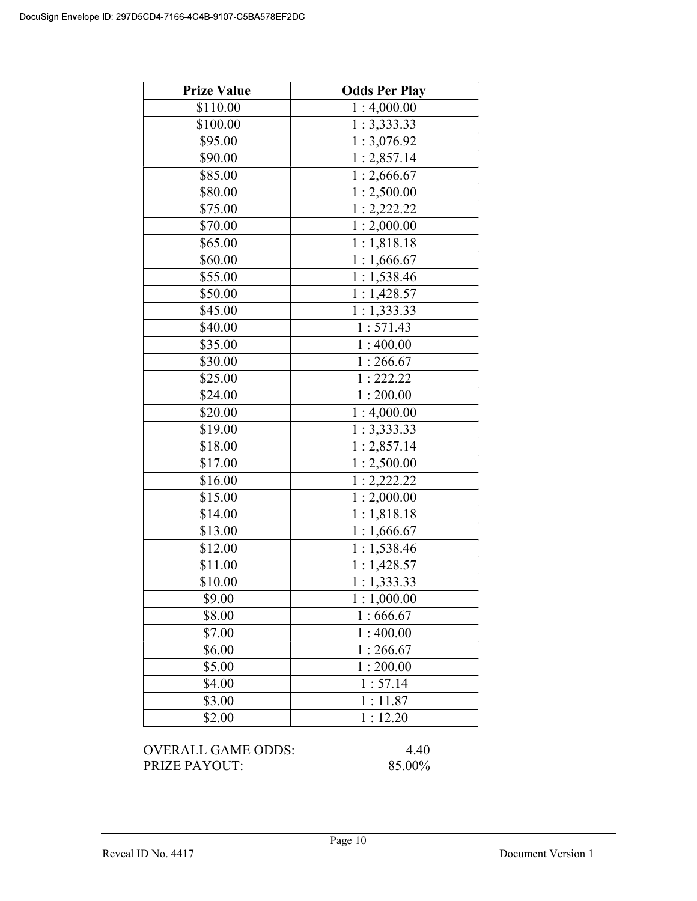| <b>Prize Value</b> | <b>Odds Per Play</b> |
|--------------------|----------------------|
| \$110.00           | 1:4,000.00           |
| \$100.00           | 1:3,333.33           |
| \$95.00            | 1:3,076.92           |
| \$90.00            | 1:2,857.14           |
| \$85.00            | 1:2,666.67           |
| \$80.00            | 1:2,500.00           |
| \$75.00            | 1:2,222.22           |
| \$70.00            | 1:2,000.00           |
| \$65.00            | 1:1,818.18           |
| \$60.00            | 1:1,666.67           |
| \$55.00            | 1:1,538.46           |
| \$50.00            | 1:1,428.57           |
| \$45.00            | 1:1,333.33           |
| \$40.00            | 1:571.43             |
| \$35.00            | 1:400.00             |
| \$30.00            | 1:266.67             |
| \$25.00            | 1:222.22             |
| \$24.00            | 1:200.00             |
| \$20.00            | 1:4,000.00           |
| \$19.00            | 1:3,333.33           |
| \$18.00            | 1:2,857.14           |
| \$17.00            | 1:2,500.00           |
| \$16.00            | 1:2,222.22           |
| \$15.00            | 1:2,000.00           |
| \$14.00            | 1:1,818.18           |
| \$13.00            | 1:1,666.67           |
| \$12.00            | 1:1,538.46           |
| \$11.00            | 1:1,428.57           |
| \$10.00            | 1:1,333.33           |
| \$9.00             | 1:1,000.00           |
| \$8.00             | 1:666.67             |
| \$7.00             | 1:400.00             |
| \$6.00             | 1:266.67             |
| \$5.00             | 1:200.00             |
| \$4.00             | 1:57.14              |
| \$3.00             | 1:11.87              |
| \$2.00             | 1:12.20              |

OVERALL GAME ODDS: 4.40<br>PRIZE PAYOUT: 85.00% PRIZE PAYOUT: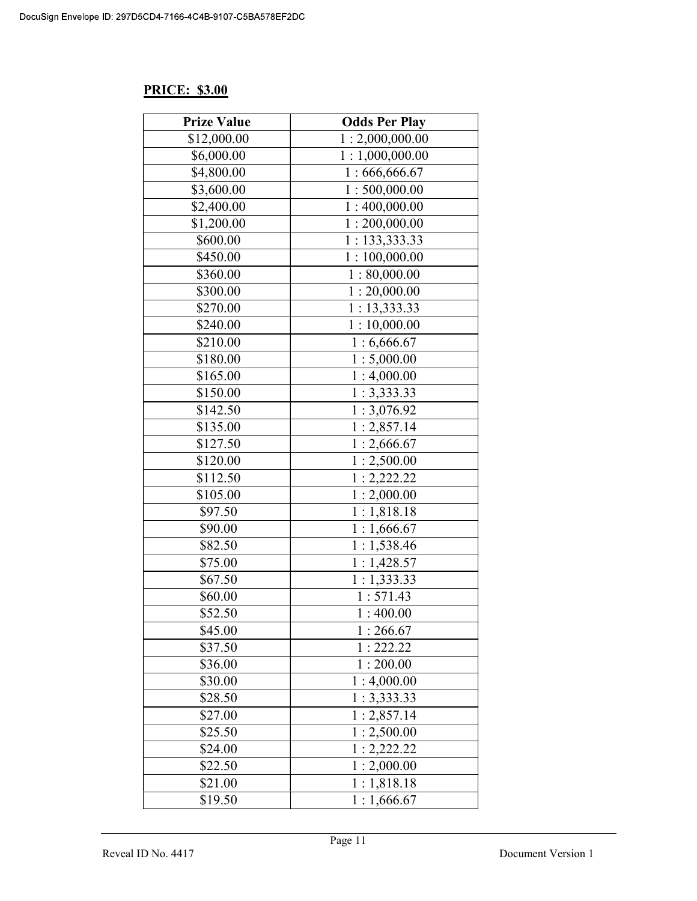# PRICE: \$3.00

| <b>Prize Value</b> | <b>Odds Per Play</b> |
|--------------------|----------------------|
| \$12,000.00        | 1:2,000,000.00       |
| \$6,000.00         | 1:1,000,000.00       |
| \$4,800.00         | 1:666,666.67         |
| \$3,600.00         | 1:500,000.00         |
| \$2,400.00         | 1:400,000.00         |
| \$1,200.00         | 1:200,000.00         |
| \$600.00           | 1: 133,333.33        |
| \$450.00           | 1:100,000.00         |
| \$360.00           | 1:80,000.00          |
| \$300.00           | 1:20,000.00          |
| \$270.00           | 1:13,333.33          |
| \$240.00           | 1:10,000.00          |
| \$210.00           | 1:6,666.67           |
| \$180.00           | 1:5,000.00           |
| \$165.00           | 1:4,000.00           |
| \$150.00           | 1:3,333.33           |
| \$142.50           | 1:3,076.92           |
| \$135.00           | 1:2,857.14           |
| \$127.50           | 1:2,666.67           |
| \$120.00           | 1:2,500.00           |
| \$112.50           | 1:2,222.22           |
| \$105.00           | 1:2,000.00           |
| \$97.50            | 1:1,818.18           |
| \$90.00            | 1:1,666.67           |
| \$82.50            | 1:1,538.46           |
| \$75.00            | 1:1,428.57           |
| \$67.50            | 1:1,333.33           |
| \$60.00            | 1:571.43             |
| \$52.50            | 1:400.00             |
| \$45.00            | 1:266.67             |
| \$37.50            | 1:222.22             |
| \$36.00            | 1:200.00             |
| \$30.00            | 1:4,000.00           |
| \$28.50            | 1:3,333.33           |
| \$27.00            | 1:2,857.14           |
| \$25.50            | 1:2,500.00           |
| \$24.00            | 1:2,222.22           |
| \$22.50            | 1:2,000.00           |
| \$21.00            | 1:1,818.18           |
| \$19.50            | 1:1,666.67           |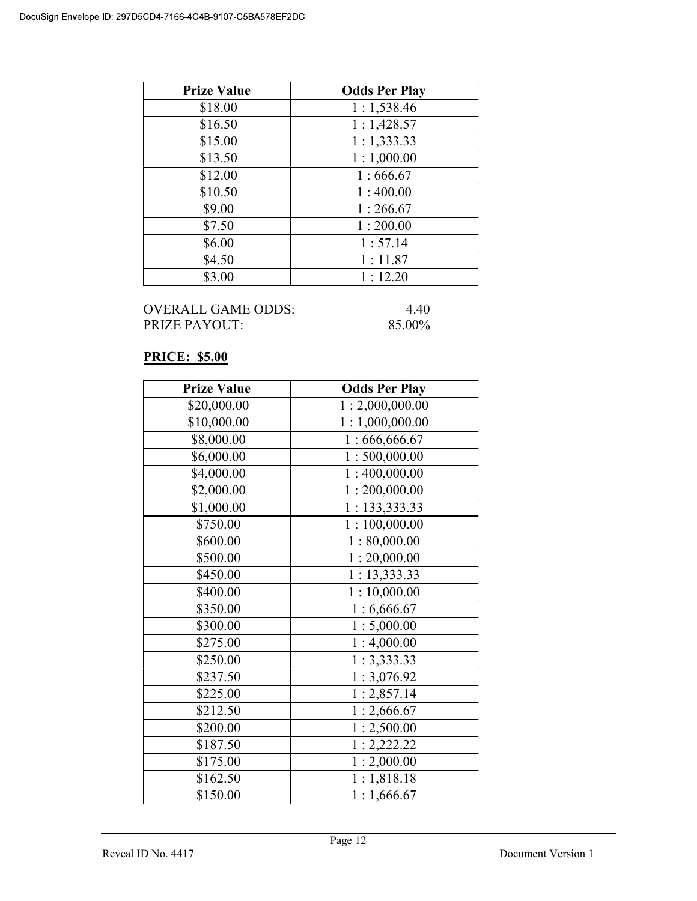| <b>Prize Value</b> | <b>Odds Per Play</b> |
|--------------------|----------------------|
| \$18.00            | 1:1,538.46           |
| \$16.50            | 1:1,428.57           |
| \$15.00            | 1:1,333.33           |
| \$13.50            | 1:1,000.00           |
| \$12.00            | 1:666.67             |
| \$10.50            | 1:400.00             |
| \$9.00             | 1:266.67             |
| \$7.50             | 1:200.00             |
| \$6.00             | 1:57.14              |
| \$4.50             | 1:11.87              |
| \$3.00             | 1:12.20              |

| OVERALL GAME ODDS: |  |
|--------------------|--|
| PRIZE PAYOUT:      |  |

 $4.40$ 85.00%

# PRICE: \$5.00

| <b>Prize Value</b> | <b>Odds Per Play</b> |
|--------------------|----------------------|
| \$20,000.00        | 1:2,000,000.00       |
| \$10,000.00        | 1:1,000,000.00       |
| \$8,000.00         | 1:666,666.67         |
| \$6,000.00         | 1:500,000.00         |
| \$4,000.00         | 1:400,000.00         |
| \$2,000.00         | 1:200,000.00         |
| \$1,000.00         | 1:133,333.33         |
| \$750.00           | 1:100,000.00         |
| \$600.00           | 1:80,000.00          |
| \$500.00           | 1:20,000.00          |
| \$450.00           | 1: 13,333.33         |
| \$400.00           | 1:10,000.00          |
| \$350.00           | 1:6,666.67           |
| \$300.00           | 1:5,000.00           |
| \$275.00           | 1:4,000.00           |
| \$250.00           | 1:3,333.33           |
| \$237.50           | 1:3,076.92           |
| \$225.00           | 1:2,857.14           |
| \$212.50           | 1:2,666.67           |
| \$200.00           | 1:2,500.00           |
| \$187.50           | 1:2,222.22           |
| \$175.00           | 1:2,000.00           |
| \$162.50           | 1:1,818.18           |
| \$150.00           | 1:1,666.67           |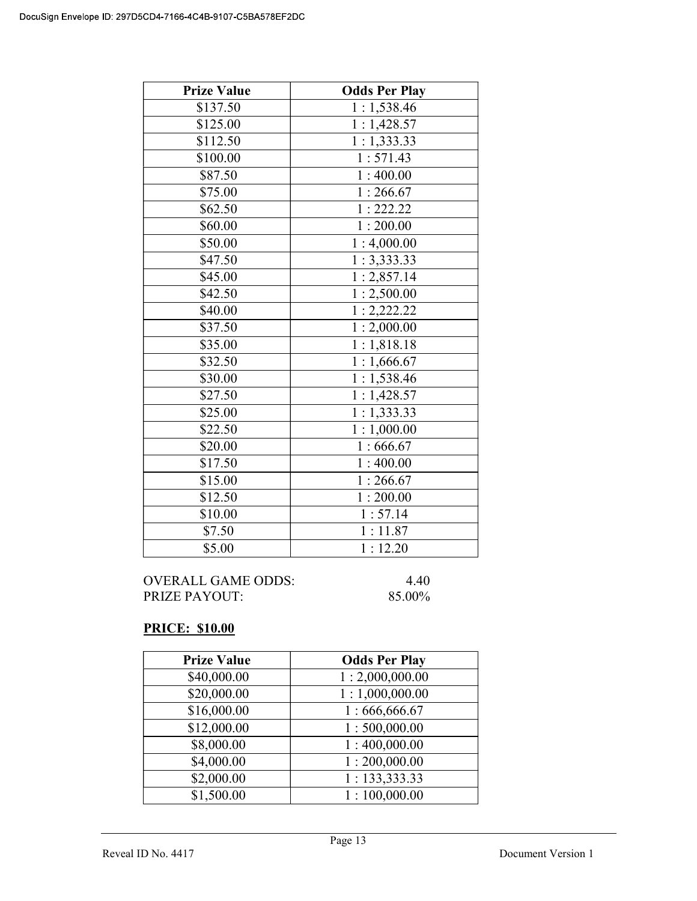| <b>Prize Value</b> | <b>Odds Per Play</b> |
|--------------------|----------------------|
| \$137.50           | 1:1,538.46           |
| \$125.00           | 1:1,428.57           |
| \$112.50           | 1:1,333.33           |
| \$100.00           | 1:571.43             |
| \$87.50            | 1:400.00             |
| \$75.00            | 1:266.67             |
| \$62.50            | 1:222.22             |
| \$60.00            | 1:200.00             |
| \$50.00            | 1:4,000.00           |
| \$47.50            | 1:3,333.33           |
| \$45.00            | 1:2,857.14           |
| \$42.50            | 1:2,500.00           |
| \$40.00            | 1:2,222.22           |
| \$37.50            | 1:2,000.00           |
| \$35.00            | 1:1,818.18           |
| \$32.50            | 1:1,666.67           |
| \$30.00            | 1:1,538.46           |
| \$27.50            | 1:1,428.57           |
| \$25.00            | 1:1,333.33           |
| \$22.50            | 1:1,000.00           |
| \$20.00            | 1:666.67             |
| \$17.50            | 1:400.00             |
| \$15.00            | 1:266.67             |
| \$12.50            | 1:200.00             |
| \$10.00            | 1:57.14              |
| \$7.50             | 1:11.87              |
| \$5.00             | 1:12.20              |

| OVERALL GAME ODDS:   | 4.40   |
|----------------------|--------|
| <b>PRIZE PAYOUT:</b> | 85.00% |

# PRICE: \$10.00

| <b>Prize Value</b> | <b>Odds Per Play</b> |
|--------------------|----------------------|
| \$40,000.00        | 1:2,000,000.00       |
| \$20,000.00        | 1:1,000,000.00       |
| \$16,000.00        | 1:666,666.67         |
| \$12,000.00        | 1:500,000.00         |
| \$8,000.00         | 1:400,000.00         |
| \$4,000.00         | 1:200,000.00         |
| \$2,000.00         | 1: 133,333.33        |
| \$1,500.00         | 1:100,000.00         |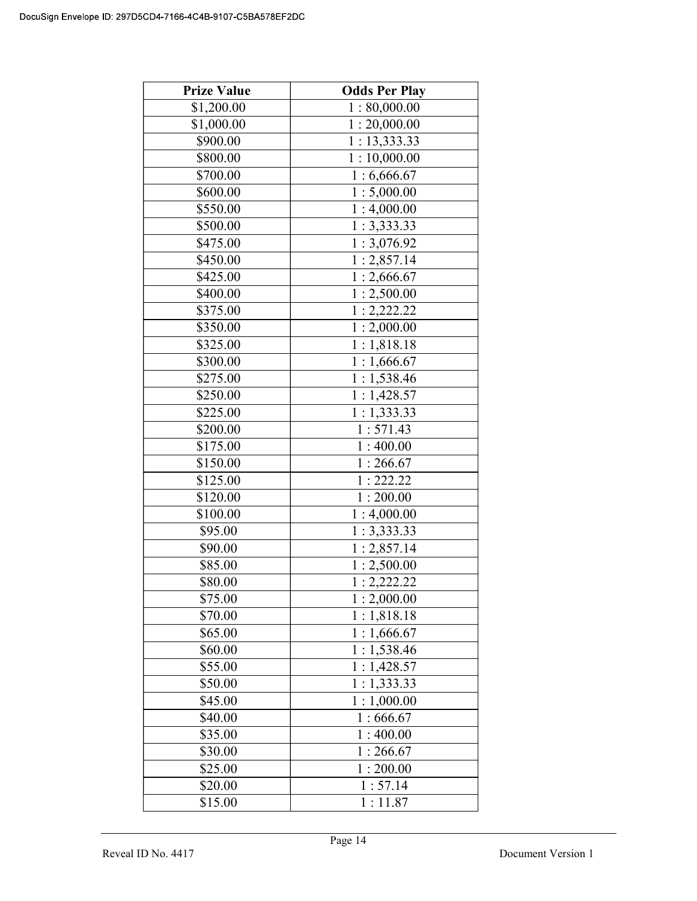| <b>Prize Value</b> | <b>Odds Per Play</b>      |
|--------------------|---------------------------|
| \$1,200.00         | 1:80,000.00               |
| \$1,000.00         | 1:20,000.00               |
| \$900.00           | 1: 13,333.33              |
| \$800.00           | 1:10,000.00               |
| \$700.00           | 1:6,666.67                |
| \$600.00           | 1:5,000.00                |
| \$550.00           | 1:4,000.00                |
| \$500.00           | $\overline{1}$ : 3,333.33 |
| \$475.00           | 1:3,076.92                |
| \$450.00           | 1:2,857.14                |
| \$425.00           | 1:2,666.67                |
| \$400.00           | 1:2,500.00                |
| \$375.00           | 1:2,222.22                |
| \$350.00           | 1:2,000.00                |
| \$325.00           | 1:1,818.18                |
| \$300.00           | $\overline{1:1,666.67}$   |
| \$275.00           | 1:1,538.46                |
| \$250.00           | 1:1,428.57                |
| \$225.00           | 1:1,333.33                |
| \$200.00           | 1:571.43                  |
| \$175.00           | 1:400.00                  |
| \$150.00           | 1:266.67                  |
| \$125.00           | 1:222.22                  |
| \$120.00           | 1:200.00                  |
| \$100.00           | 1:4,000.00                |
| \$95.00            | 1:3,333.33                |
| \$90.00            | 1:2,857.14                |
| \$85.00            | 1:2,500.00                |
| \$80.00            | 1:2,222.22                |
| \$75.00            | 1:2,000.00                |
| \$70.00            | 1:1,818.18                |
| \$65.00            | 1:1,666.67                |
| \$60.00            | 1:1,538.46                |
| \$55.00            | 1:1,428.57                |
| \$50.00            | 1:1,333.33                |
| \$45.00            | 1:1,000.00                |
| \$40.00            | 1:666.67                  |
| \$35.00            | 1:400.00                  |
| \$30.00            | 1:266.67                  |
| \$25.00            | 1:200.00                  |
| \$20.00            | 1:57.14                   |
| \$15.00            | 1:11.87                   |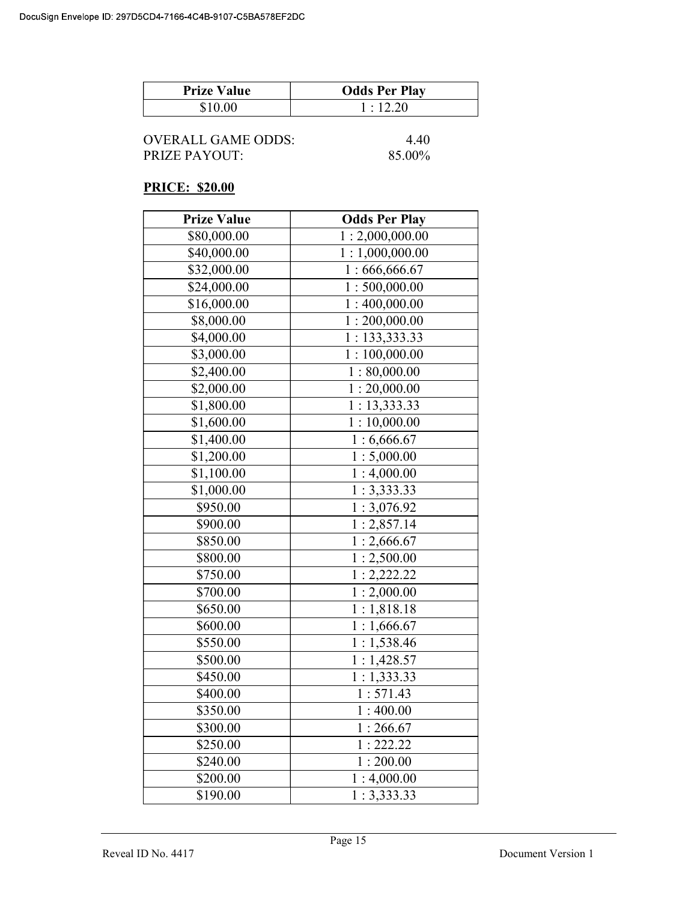| <b>Prize Value</b> | <b>Odds Per Play</b> |
|--------------------|----------------------|
| \$10.00            | 1:12.20              |

| OVERALL GAME ODDS: | 4.40   |
|--------------------|--------|
| PRIZE PAYOUT:      | 85.00% |

### PRICE: \$20.00

| <b>Prize Value</b> | <b>Odds Per Play</b> |
|--------------------|----------------------|
| \$80,000.00        | 1:2,000,000.00       |
| \$40,000.00        | 1:1,000,000.00       |
| \$32,000.00        | 1:666,666.67         |
| \$24,000.00        | 1:500,000.00         |
| \$16,000.00        | 1:400,000.00         |
| \$8,000.00         | 1:200,000.00         |
| \$4,000.00         | 1: 133, 333.33       |
| \$3,000.00         | 1:100,000.00         |
| \$2,400.00         | 1:80,000.00          |
| \$2,000.00         | 1:20,000.00          |
| \$1,800.00         | 1: 13,333.33         |
| \$1,600.00         | 1:10,000.00          |
| \$1,400.00         | 1:6,666.67           |
| \$1,200.00         | 1:5,000.00           |
| \$1,100.00         | 1:4,000.00           |
| \$1,000.00         | 1:3,333.33           |
| \$950.00           | 1:3,076.92           |
| \$900.00           | 1:2,857.14           |
| \$850.00           | 1:2,666.67           |
| \$800.00           | 1:2,500.00           |
| \$750.00           | 1:2,222.22           |
| \$700.00           | 1:2,000.00           |
| \$650.00           | 1:1,818.18           |
| \$600.00           | 1:1,666.67           |
| \$550.00           | 1:1,538.46           |
| \$500.00           | 1:1,428.57           |
| \$450.00           | 1:1,333.33           |
| \$400.00           | 1:571.43             |
| \$350.00           | 1:400.00             |
| \$300.00           | 1:266.67             |
| \$250.00           | 1:222.22             |
| \$240.00           | 1:200.00             |
| \$200.00           | 1:4,000.00           |
| \$190.00           | 1:3,333.33           |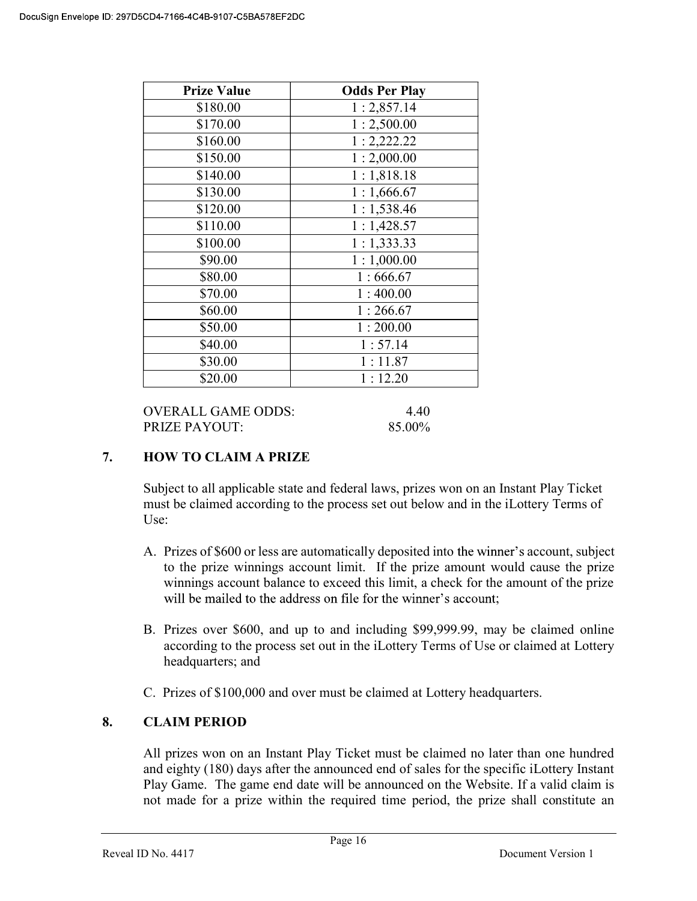| <b>Prize Value</b> | <b>Odds Per Play</b> |
|--------------------|----------------------|
| \$180.00           | 1:2,857.14           |
| \$170.00           | 1:2,500.00           |
| \$160.00           | 1:2,222.22           |
| \$150.00           | 1:2,000.00           |
| \$140.00           | 1:1,818.18           |
| \$130.00           | 1:1,666.67           |
| \$120.00           | 1:1,538.46           |
| \$110.00           | 1:1,428.57           |
| \$100.00           | 1:1,333.33           |
| \$90.00            | 1:1,000.00           |
| \$80.00            | 1:666.67             |
| \$70.00            | 1:400.00             |
| \$60.00            | 1:266.67             |
| \$50.00            | 1:200.00             |
| \$40.00            | 1:57.14              |
| \$30.00            | 1:11.87              |
| \$20.00            | 1:12.20              |

| OVERALL GAME ODDS:   | 4.40   |
|----------------------|--------|
| <b>PRIZE PAYOUT:</b> | 85.00% |

# 7. HOW TO CLAIM A PRIZE

Subject to all applicable state and federal laws, prizes won on an Instant Play Ticket must be claimed according to the process set out below and in the iLottery Terms of Use:

- A. Prizes of \$600 or less are automatically deposited into the winner's account, subject to the prize winnings account limit. If the prize amount would cause the prize winnings account balance to exceed this limit, a check for the amount of the prize will be mailed to the address on file for the winner's account;
- B. Prizes over \$600, and up to and including \$99,999.99, may be claimed online according to the process set out in the iLottery Terms of Use or claimed at Lottery headquarters; and
- C. Prizes of \$100,000 and over must be claimed at Lottery headquarters.

# 8. CLAIM PERIOD

 All prizes won on an Instant Play Ticket must be claimed no later than one hundred and eighty (180) days after the announced end of sales for the specific iLottery Instant Play Game. The game end date will be announced on the Website. If a valid claim is not made for a prize within the required time period, the prize shall constitute an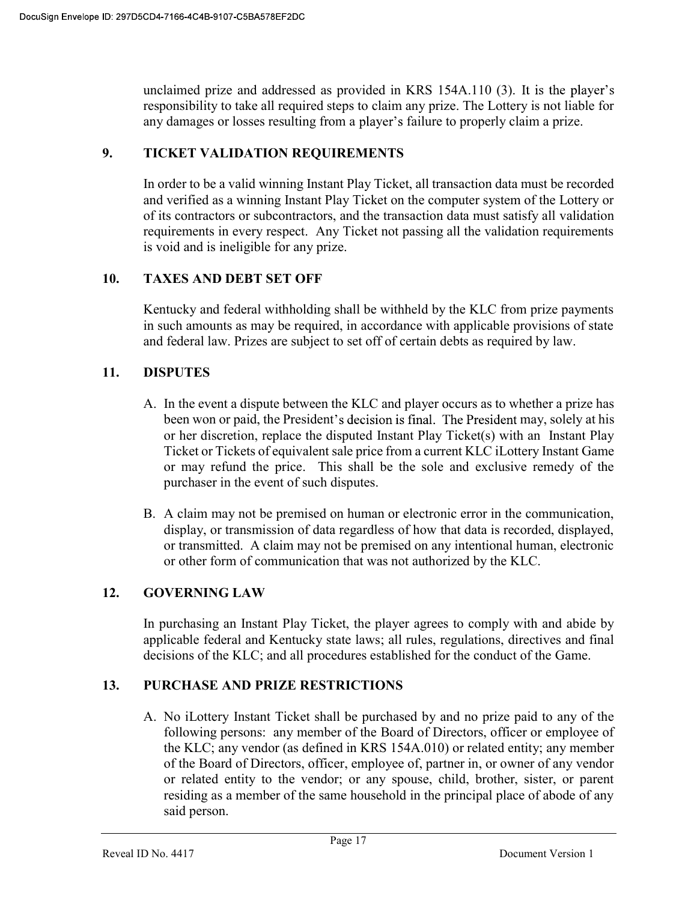unclaimed prize and addressed as provided in KRS 154A.110 (3). responsibility to take all required steps to claim any prize. The Lottery is not liable for any damages or losses resulting from a player's failure to properly claim a prize.

### 9. TICKET VALIDATION REQUIREMENTS

In order to be a valid winning Instant Play Ticket, all transaction data must be recorded and verified as a winning Instant Play Ticket on the computer system of the Lottery or of its contractors or subcontractors, and the transaction data must satisfy all validation requirements in every respect. Any Ticket not passing all the validation requirements is void and is ineligible for any prize.

# 10. TAXES AND DEBT SET OFF

 Kentucky and federal withholding shall be withheld by the KLC from prize payments in such amounts as may be required, in accordance with applicable provisions of state and federal law. Prizes are subject to set off of certain debts as required by law.

# 11. DISPUTES

- A. In the event a dispute between the KLC and player occurs as to whether a prize has been won or paid, the President's decision is final. The President may, solely at his or her discretion, replace the disputed Instant Play Ticket(s) with an Instant Play Ticket or Tickets of equivalent sale price from a current KLC iLottery Instant Game or may refund the price. This shall be the sole and exclusive remedy of the purchaser in the event of such disputes.
- B. A claim may not be premised on human or electronic error in the communication, display, or transmission of data regardless of how that data is recorded, displayed, or transmitted. A claim may not be premised on any intentional human, electronic or other form of communication that was not authorized by the KLC.

### 12. GOVERNING LAW

 In purchasing an Instant Play Ticket, the player agrees to comply with and abide by applicable federal and Kentucky state laws; all rules, regulations, directives and final decisions of the KLC; and all procedures established for the conduct of the Game.

### 13. PURCHASE AND PRIZE RESTRICTIONS

A. No iLottery Instant Ticket shall be purchased by and no prize paid to any of the following persons: any member of the Board of Directors, officer or employee of the KLC; any vendor (as defined in KRS 154A.010) or related entity; any member of the Board of Directors, officer, employee of, partner in, or owner of any vendor or related entity to the vendor; or any spouse, child, brother, sister, or parent residing as a member of the same household in the principal place of abode of any said person.